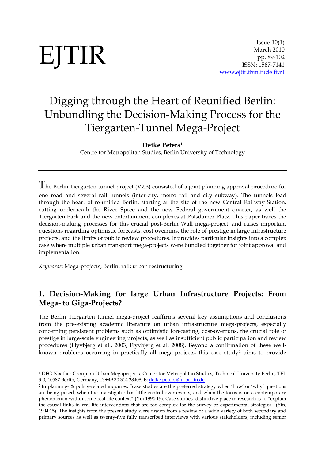# Digging through the Heart of Reunified Berlin: Unbundling the Decision-Making Process for the Tiergarten-Tunnel Mega-Project

**Deike Peters[1](#page-0-0)**

Centre for Metropolitan Studies, Berlin University of Technology

 $\rm T$ he Berlin Tiergarten tunnel project (VZB) consisted of a joint planning approval procedure for one road and several rail tunnels (inter-city, metro rail and city subway). The tunnels lead through the heart of re-unified Berlin, starting at the site of the new Central Railway Station, cutting underneath the River Spree and the new Federal government quarter, as well the Tiergarten Park and the new entertainment complexes at Potsdamer Platz. This paper traces the decision-making processes for this crucial post-Berlin Wall mega-project, and raises important questions regarding optimistic forecasts, cost overruns, the role of prestige in large infrastructure projects, and the limits of public review procedures. It provides particular insights into a complex case where multiple urban transport mega-projects were bundled together for joint approval and implementation.

*Keywords*: Mega-projects; Berlin; rail; urban restructuring

-

# **1. Decision-Making for large Urban Infrastructure Projects: From Mega- to Giga-Projects?**

The Berlin Tiergarten tunnel mega-project reaffirms several key assumptions and conclusions from the pre-existing academic literature on urban infrastructure mega-projects, especially concerning persistent problems such as optimistic forecasting, cost-overruns, the crucial role of prestige in large-scale engineering projects, as well as insufficient public participation and review procedures (Flyvbjerg et al., 2003; Flyvbjerg et al. 2008). Beyond a confirmation of these well-known problems occurring in practically all mega-projects, this case study<sup>[2](#page-0-1)</sup> aims to provide

<span id="page-0-0"></span><sup>1</sup> DFG Noether Group on Urban Megaprojects, Center for Metropolitan Studies, Technical University Berlin, TEL 3-0, 10587 Berlin, Germany, T: +49 30 314 28408, E: [deike.peters@tu-berlin.de](mailto:deike.peters@tu-berlin.de)

<span id="page-0-1"></span><sup>2</sup> In planning- & policy-related inquiries, "case studies are the preferred strategy when 'how' or 'why' questions are being posed, when the investigator has little control over events, and when the focus is on a contemporary phenomenon within some real-life context" (Yin 1994:15). Case studies' distinctive place in research is to "explain the causal links in real-life interventions that are too complex for the survey or experimental strategies" (Yin, 1994:15). The insights from the present study were drawn from a review of a wide variety of both secondary and primary sources as well as twenty-five fully transcribed interviews with various stakeholders, including senior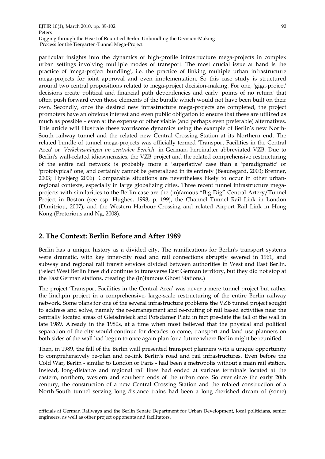particular insights into the dynamics of high-profile infrastructure mega-projects in complex urban settings involving multiple modes of transport. The most crucial issue at hand is the practice of 'mega-project bundling', i.e. the practice of linking multiple urban infrastructure mega-projects for joint approval and even implementation. So this case study is structured around two central propositions related to mega-project decision-making. For one, 'giga-project' decisions create political and financial path dependencies and early 'points of no return' that often push forward even those elements of the bundle which would not have been built on their own. Secondly, once the desired new infrastructure mega-projects are completed, the project promoters have an obvious interest and even public obligation to ensure that these are utilized as much as possible – even at the expense of other viable (and perhaps even preferable) alternatives. This article will illustrate these worrisome dynamics using the example of Berlin's new North-South railway tunnel and the related new Central Crossing Station at its Northern end. The related bundle of tunnel mega-projects was officially termed 'Transport Facilities in the Central Area' or '*Verkehrsanlagen im zentralen Bereich'* in German, hereinafter abbreviated VZB. Due to Berlin's wall-related idiosyncrasies, the VZB project and the related comprehensive restructuring of the entire rail network is probably more a 'superlative' case than a 'paradigmatic' or 'prototypical' one, and certainly cannot be generalized in its entirety (Beauregard, 2003; Brenner, 2003; Flyvbjerg 2006). Comparable situations are nevertheless likely to occur in other urbanregional contexts, especially in large globalizing cities. Three recent tunnel infrastructure megaprojects with similarities to the Berlin case are the (in)famous "Big Dig" Central Artery/Tunnel Project in Boston (see esp. Hughes, 1998, p. 199), the Channel Tunnel Rail Link in London (Dimitriou, 2007), and the Western Harbour Crossing and related Airport Rail Link in Hong Kong (Pretorious and Ng, 2008).

# **2. The Context: Berlin Before and After 1989**

-

Berlin has a unique history as a divided city. The ramifications for Berlin's transport systems were dramatic, with key inner-city road and rail connections abruptly severed in 1961, and subway and regional rail transit services divided between authorities in West and East Berlin. (Select West Berlin lines did continue to transverse East German territory, but they did not stop at the East German stations, creating the (in)famous Ghost Stations.)

The project 'Transport Facilities in the Central Area' was never a mere tunnel project but rather the linchpin project in a comprehensive, large-scale restructuring of the entire Berlin railway network. Some plans for one of the several infrastructure problems the VZB tunnel project sought to address and solve, namely the re-arrangement and re-routing of rail based activities near the centrally located areas of Gleisdreieck and Potsdamer Platz in fact pre-date the fall of the wall in late 1989. Already in the 1980s, at a time when most believed that the physical and political separation of the city would continue for decades to come, transport and land use planners on both sides of the wall had begun to once again plan for a future where Berlin might be reunified.

Then, in 1989, the fall of the Berlin wall presented transport planners with a unique opportunity to comprehensively re-plan and re-link Berlin's road and rail infrastructures. Even before the Cold War, Berlin - similar to London or Paris - had been a metropolis without a main rail station. Instead, long-distance and regional rail lines had ended at various terminals located at the eastern, northern, western and southern ends of the urban core. So ever since the early 20th century, the construction of a new Central Crossing Station and the related construction of a North-South tunnel serving long-distance trains had been a long-cherished dream of (some)

officials at German Railways and the Berlin Senate Department for Urban Development, local politicians, senior engineers, as well as other project opponents and facilitators.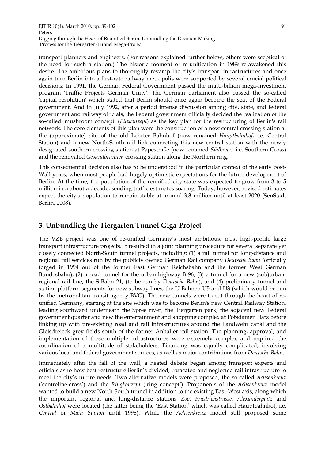transport planners and engineers. (For reasons explained further below, others were sceptical of the need for such a station.) The historic moment of re-unification in 1989 re-awakened this desire. The ambitious plans to thoroughly revamp the city's transport infrastructures and once again turn Berlin into a first-rate railway metropolis were supported by several crucial political decisions: In 1991, the German Federal Government passed the multi-billion mega-investment program 'Traffic Projects German Unity'. The German parliament also passed the so-called 'capital resolution' which stated that Berlin should once again become the seat of the Federal government. And in July 1992, after a period intense discussion among city, state, and federal government and railway officials, the Federal government officially decided the realization of the so-called 'mushroom concept' (*Pilzkonzept*) as the key plan for the restructuring of Berlin's rail network. The core elements of this plan were the construction of a new central crossing station at the (approximate) site of the old Lehrter Bahnhof (now renamed *Hauptbahnhof*, i.e. Central Station) and a new North-South rail link connecting this new central station with the newly designated southern crossing station at Papestraße (now renamed *Südkreuz*, i.e. Southern Cross) and the renovated *Gesundbrunnen* crossing station along the Northern ring.

This consequential decision also has to be understood in the particular context of the early post-Wall years, when most people had hugely optimistic expectations for the future development of Berlin. At the time, the population of the reunified city-state was expected to grow from 3 to 5 million in a about a decade, sending traffic estimates soaring. Today, however, revised estimates expect the city's population to remain stable at around 3.3 million until at least 2020 (SenStadt Berlin, 2008).

# **3. Unbundling the Tiergarten Tunnel Giga-Project**

The VZB project was one of re-unified Germany's most ambitious, most high-profile large transport infrastructure projects. It resulted in a joint planning procedure for several separate yet closely connected North-South tunnel projects, including: (1) a rail tunnel for long-distance and regional rail services run by the publicly owned German Rail company *Deutsche Bahn* (officially forged in 1994 out of the former East German Reichsbahn and the former West German Bundesbahn), (2) a road tunnel for the urban highway B 96, (3) a tunnel for a new (sub)urbanregional rail line, the S-Bahn 21, (to be run by *Deutsche Bahn*), and (4) preliminary tunnel and station platform segments for new subway lines, the U-Bahnen U5 and U3 (which would be run by the metropolitan transit agency BVG). The new tunnels were to cut through the heart of reunified Germany, starting at the site which was to become Berlin's new Central Railway Station, leading southward underneath the Spree river, the Tiergarten park, the adjacent new Federal government quarter and new the entertainment and shopping complex at Potsdamer Platz before linking up with pre-existing road and rail infrastructures around the Landwehr canal and the Gleisdreieck grey fields south of the former Anhalter rail station. The planning, approval, and implementation of these multiple infrastructures were extremely complex and required the coordination of a multitude of stakeholders. Financing was equally complicated, involving various local and federal government sources, as well as major contributions from *Deutsche Bahn*.

Immediately after the fall of the wall, a heated debate began among transport experts and officials as to how best restructure Berlin's divided, truncated and neglected rail infrastructure to meet the city's future needs. Two alternative models were proposed, the so-called *Achsenkreuz*  ('centreline-cross') and the *Ringkonzept* ('ring concept'). Proponents of the *Achsenkreuz* model wanted to build a new North-South tunnel in addition to the existing East-West axis, along which the important regional and long-distance stations *Zoo*, *Friedrichstrasse*, *Alexanderplatz* and *Ostbahnhof* were located (the latter being the 'East Station' which was called Hauptbahnhof, i.e. *Central* or *Main Station* until 1998). While the *Achsenkreuz* model still proposed some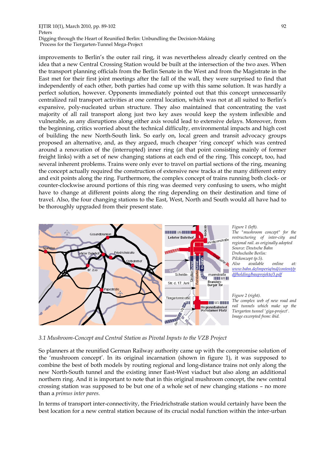improvements to Berlin's the outer rail ring, it was nevertheless already clearly centred on the idea that a new Central Crossing Station would be built at the intersection of the two axes. When the transport planning officials from the Berlin Senate in the West and from the Magistrate in the East met for their first joint meetings after the fall of the wall, they were surprised to find that independently of each other, both parties had come up with this same solution. It was hardly a perfect solution, however. Opponents immediately pointed out that this concept unnecessarily centralized rail transport activities at one central location, which was not at all suited to Berlin's expansive, poly-nucleated urban structure. They also maintained that concentrating the vast majority of all rail transport along just two key axes would keep the system inflexible and vulnerable, as any disruptions along either axis would lead to extensive delays. Moreover, from the beginning, critics worried about the technical difficulty, environmental impacts and high cost of building the new North-South link. So early on, local green and transit advocacy groups proposed an alternative, and, as they argued, much cheaper 'ring concept' which was centred around a renovation of the (interrupted) inner ring (at that point consisting mainly of former freight links) with a set of new changing stations at each end of the ring. This concept, too, had several inherent problems. Trains were only ever to travel on partial sections of the ring, meaning the concept actually required the construction of extensive new tracks at the many different entry and exit points along the ring. Furthermore, the complex concept of trains running both clock- or counter-clockwise around portions of this ring was deemed very confusing to users, who might have to change at different points along the ring depending on their destination and time of travel. Also, the four changing stations to the East, West, North and South would all have had to be thoroughly upgraded from their present state.



*Figure 1 (left). The "mushroom concept" for the restructuring of inter-city and regional rail. as originally adopted Source: Deutsche Bahn Drehscheibe Berlin: Pilzkonzept (p.5). Also available online at: [www.bahn.de/imperia/md/content/p](http://www.bahn.de/imperia/md/content/pdf/holding/bauprojekte/3.pdf) [df/holding/bauprojekte/3.pdf](http://www.bahn.de/imperia/md/content/pdf/holding/bauprojekte/3.pdf)*

#### *Figure 2 (right).*

*The complex web of new road and rail tunnels which make up the Tiergarten tunnel 'giga-project'. Image excerpted from: ibid.* 

*3.1 Mushroom-Concept and Central Station as Pivotal Inputs to the VZB Project* 

So planners at the reunified German Railway authority came up with the compromise solution of the 'mushroom concept'. In its original incarnation (shown in figure 1), it was supposed to combine the best of both models by routing regional and long-distance trains not only along the new North-South tunnel and the existing inner East-West viaduct but also along an additional northern ring. And it is important to note that in this original mushroom concept, the new central crossing station was supposed to be but one of a whole set of new changing stations – no more than a *primus inter pares.*

In terms of transport inter-connectivity, the Friedrichstraße station would certainly have been the best location for a new central station because of its crucial nodal function within the inter-urban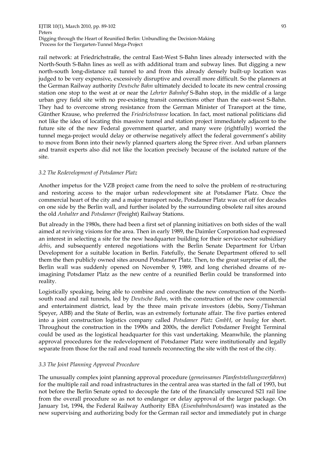rail network: at Friedrichstraße, the central East-West S-Bahn lines already intersected with the North-South S-Bahn lines as well as with additional tram and subway lines. But digging a new north-south long-distance rail tunnel to and from this already densely built-up location was judged to be very expensive, excessively disruptive and overall more difficult. So the planners at the German Railway authority *Deutsche Bahn* ultimately decided to locate its new central crossing station one stop to the west at or near the *Lehrter Bahnhof* S-Bahn stop, in the middle of a large urban grey field site with no pre-existing transit connections other than the east-west S-Bahn. They had to overcome strong resistance from the German Minister of Transport at the time, Günther Krause, who preferred the *Friedrichstrasse* location. In fact, most national politicians did not like the idea of locating this massive tunnel and station project immediately adjacent to the future site of the new Federal government quarter, and many were (rightfully) worried the tunnel mega-project would delay or otherwise negatively affect the federal government's ability to move from Bonn into their newly planned quarters along the Spree river. And urban planners and transit experts also did not like the location precisely because of the isolated nature of the site.

#### *3.2 The Redevelopment of Potsdamer Platz*

Another impetus for the VZB project came from the need to solve the problem of re-structuring and restoring access to the major urban redevelopment site at Potsdamer Platz. Once the commercial heart of the city and a major transport node, Potsdamer Platz was cut off for decades on one side by the Berlin wall, and further isolated by the surrounding obsolete rail sites around the old *Anhalter* and *Potsdamer* (Freight) Railway Stations.

But already in the 1980s, there had been a first set of planning initiatives on both sides of the wall aimed at reviving visions for the area. Then in early 1989, the Daimler Corporation had expressed an interest in selecting a site for the new headquarter building for their service-sector subsidiary *debis*, and subsequently entered negotiations with the Berlin Senate Department for Urban Development for a suitable location in Berlin. Fatefully, the Senate Department offered to sell them the then publicly owned sites around Potsdamer Platz. Then, to the great surprise of all, the Berlin wall was suddenly opened on November 9, 1989, and long cherished dreams of reimagining Potsdamer Platz as the new centre of a reunified Berlin could be transformed into reality.

Logistically speaking, being able to combine and coordinate the new construction of the Northsouth road and rail tunnels, led by *Deutsche Bahn*, with the construction of the new commercial and entertainment district, lead by the three main private investors (debis, Sony/Tishman Speyer, ABB) and the State of Berlin, was an extremely fortunate affair. The five parties entered into a joint construction logistics company called *Potsdamer Platz GmbH*, or *baulog* for short. Throughout the construction in the 1990s and 2000s, the derelict Potsdamer Freight Terminal could be used as the logistical headquarter for this vast undertaking. Meanwhile, the planning approval procedures for the redevelopment of Potsdamer Platz were institutionally and legally separate from those for the rail and road tunnels reconnecting the site with the rest of the city.

#### *3.3 The Joint Planning Approval Procedure*

The unusually complex joint planning approval procedure (*gemeinsames Planfeststellungsverfahren*) for the multiple rail and road infrastructures in the central area was started in the fall of 1993, but not before the Berlin Senate opted to decouple the fate of the financially unsecured S21 rail line from the overall procedure so as not to endanger or delay approval of the larger package. On January 1st, 1994, the Federal Railway Authority EBA (*Eisenbahnbundesamt*) was instated as the new supervising and authorizing body for the German rail sector and immediately put in charge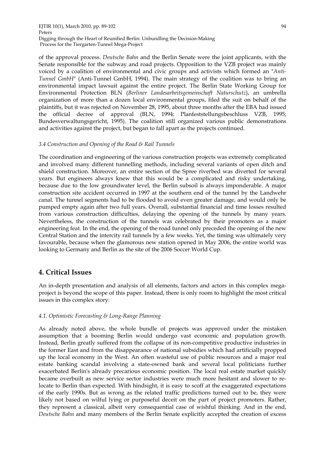of the approval process. *Deutsche Bahn* and the Berlin Senate were the joint applicants, with the Senate responsible for the subway and road projects. Opposition to the VZB project was mainly voiced by a coalition of environmental and civic groups and activists which formed an "*Anti-Tunnel GmbH*" (Anti-Tunnel GmbH, 1994). The main strategy of the coalition was to bring an environmental impact lawsuit against the entire project. The Berlin State Working Group for Environmental Protection BLN (*Berliner Landesarbeitsgemeinschaft Naturschutz*), an umbrella organization of more than a dozen local environmental groups, filed the suit on behalf of the plaintiffs, but it was rejected on November 28, 1995, about three months after the EBA had issued the official decree of approval (BLN, 1994; Planfeststellungsbeschluss VZB, 1995; Bundesverwaltungsgericht, 1995). The coalition still organized various public demonstrations and activities against the project, but began to fall apart as the projects continued.

#### *3.4 Construction and Opening of the Road & Rail Tunnels*

The coordination and engineering of the various construction projects was extremely complicated and involved many different tunnelling methods, including several variants of open ditch and shield construction. Moreover, an entire section of the Spree riverbed was diverted for several years. But engineers always knew that this would be a complicated and risky undertaking, because due to the low groundwater level, the Berlin subsoil is always imponderable. A major construction site accident occurred in 1997 at the southern end of the tunnel by the Landwehr canal. The tunnel segments had to be flooded to avoid even greater damage, and would only be pumped empty again after two full years. Overall, substantial financial and time losses resulted from various construction difficulties, delaying the opening of the tunnels by many years. Nevertheless, the construction of the tunnels was celebrated by their promoters as a major engineering feat. In the end, the opening of the road tunnel only preceded the opening of the new Central Station and the intercity rail tunnels by a few weeks. Yet, the timing was ultimately very favourable, because when the glamorous new station opened in May 2006, the entire world was looking to Germany and Berlin as the site of the 2006 Soccer World Cup.

# **4. Critical Issues**

An in-depth presentation and analysis of all elements, factors and actors in this complex megaproject is beyond the scope of this paper. Instead, there is only room to highlight the most critical issues in this complex story:

#### *4.1. Optimistic Forecasting & Long-Range Planning*

As already noted above, the whole bundle of projects was approved under the mistaken assumption that a booming Berlin would undergo vast economic and population growth. Instead, Berlin greatly suffered from the collapse of its non-competitive productive industries in the former East and from the disappearance of national subsidies which had artificially propped up the local economy in the West. An often wasteful use of public resources and a major real estate banking scandal involving a state-owned bank and several local politicians further exacerbated Berlin's already precarious economic position. The local real estate market quickly became overbuilt as new service sector industries were much more hesitant and slower to relocate to Berlin than expected. With hindsight, it is easy to scoff at the exaggerated expectations of the early 1990s. But as wrong as the related traffic predictions turned out to be, they were likely not based on wilful lying or purposeful deceit on the part of project promoters. Rather, they represent a classical, albeit very consequential case of wishful thinking. And in the end, *Deutsche Bahn* and many members of the Berlin Senate explicitly accepted the creation of excess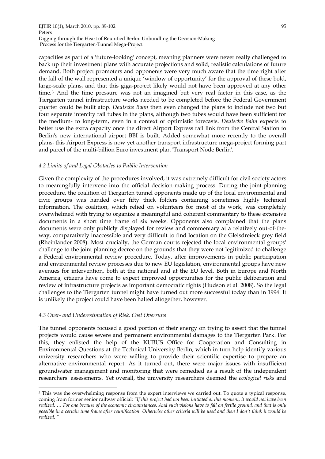capacities as part of a 'future-looking' concept, meaning planners were never really challenged to back up their investment plans with accurate projections and solid, realistic calculations of future demand. Both project promoters and opponents were very much aware that the time right after the fall of the wall represented a unique 'window of opportunity' for the approval of these bold, large-scale plans, and that this giga-project likely would not have been approved at any other time.[3](#page-6-0) And the time pressure was not an imagined but very real factor in this case, as the Tiergarten tunnel infrastructure works needed to be completed before the Federal Government quarter could be built atop. *Deutsche Bahn* then even changed the plans to include not two but four separate intercity rail tubes in the plans, although two tubes would have been sufficient for the medium- to long-term, even in a context of optimistic forecasts. *Deutsche Bahn* expects to better use the extra capacity once the direct Airport Express rail link from the Central Station to Berlin's new international airport BBI is built. Added somewhat more recently to the overall plans, this Airport Express is now yet another transport infrastructure mega-project forming part and parcel of the multi-billion Euro investment plan 'Transport Node Berlin'.

#### *4.2 Limits of and Legal Obstacles to Public Intervention*

Given the complexity of the procedures involved, it was extremely difficult for civil society actors to meaningfully intervene into the official decision-making process. During the joint-planning procedure, the coalition of Tiergarten tunnel opponents made up of the local environmental and civic groups was handed over fifty thick folders containing sometimes highly technical information. The coalition, which relied on volunteers for most of its work, was completely overwhelmed with trying to organize a meaningful and coherent commentary to these extensive documents in a short time frame of six weeks. Opponents also complained that the plans documents were only publicly displayed for review and commentary at a relatively out-of-theway, comparatively inaccessible and very difficult to find location on the Gleisdreieck grey field (Rheinländer 2008). Most crucially, the German courts rejected the local environmental groups' challenge to the joint planning decree on the grounds that they were not legitimized to challenge a Federal environmental review procedure. Today, after improvements in public participation and environmental review processes due to new EU legislation, environmental groups have new avenues for intervention, both at the national and at the EU level. Both in Europe and North America, citizens have come to expect improved opportunities for the public deliberation and review of infrastructure projects as important democratic rights (Hudson et al. 2008). So the legal challenges to the Tiergarten tunnel might have turned out more successful today than in 1994. It is unlikely the project could have been halted altogether, however.

#### *4.3 Over- and Underestimation of Risk, Cost Overruns*

-

The tunnel opponents focused a good portion of their energy on trying to assert that the tunnel projects would cause severe and permanent environmental damages to the Tiergarten Park. For this, they enlisted the help of the KUBUS Office for Cooperation and Consulting in Environmental Questions at the Technical University Berlin, which in turn help identify various university researchers who were willing to provide their scientific expertise to prepare an alternative environmental report. As it turned out, there were major issues with insufficient groundwater management and monitoring that were remedied as a result of the independent researchers' assessments. Yet overall, the university researchers deemed the *ecological risks* and

<span id="page-6-0"></span><sup>&</sup>lt;sup>3</sup> This was the overwhelming response from the expert interviews we carried out. To quote a typical response, coming from former senior railway official: *"If this project had not been initiated at this moment, it would not have been realized. … For one because of the economic circumstances. And such visions have to fall on fertile ground, and that is only possible in a certain time frame after reunification. Otherwise other criteria will be used and then I don't think it would be realized. "*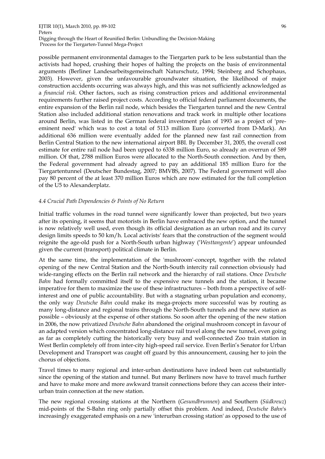possible permanent environmental damages to the Tiergarten park to be less substantial than the activists had hoped, crushing their hopes of halting the projects on the basis of environmental arguments (Berliner Landesarbeitsgemeinschaft Naturschutz, 1994; Steinberg and Schophaus, 2003). However, given the unfavourable groundwater situation, the likelihood of major construction accidents occurring was always high, and this was not sufficiently acknowledged as a *financial risk*. Other factors, such as rising construction prices and additional environmental requirements further raised project costs. According to official federal parliament documents, the entire expansion of the Berlin rail node, which besides the Tiergarten tunnel and the new Central Station also included additional station renovations and track work in multiple other locations around Berlin, was listed in the German federal investment plan of 1993 as a project of 'preeminent need' which was to cost a total of 5113 million Euro (converted from D-Mark). An additional 636 million were eventually added for the planned new fast rail connection from Berlin Central Station to the new international airport BBI. By December 31, 2005, the overall cost estimate for entire rail node had been upped to 6338 million Euro, so already an overrun of 589 million. Of that, 2788 million Euros were allocated to the North-South connection. And by then, the Federal government had already agreed to pay an additional 185 million Euro for the Tiergartentunnel (Deutscher Bundestag, 2007; BMVBS, 2007). The Federal government will also pay 80 percent of the at least 370 million Euros which are now estimated for the full completion of the U5 to Alexanderplatz.

#### *4.4 Crucial Path Dependencies & Points of No Return*

Initial traffic volumes in the road tunnel were significantly lower than projected, but two years after its opening, it seems that motorists in Berlin have embraced the new option, and the tunnel is now relatively well used, even though its official designation as an urban road and its curvy design limits speeds to 50 km/h. Local activists' fears that the construction of the segment would reignite the age-old push for a North-South urban highway ('*Westtangente*') appear unfounded given the current (transport) political climate in Berlin.

At the same time, the implementation of the 'mushroom'-concept, together with the related opening of the new Central Station and the North-South intercity rail connection obviously had wide-ranging effects on the Berlin rail network and the hierarchy of rail stations. Once *Deutsche Bahn* had formally committed itself to the expensive new tunnels and the station, it became imperative for them to maximize the use of these infrastructures – both from a perspective of selfinterest and one of public accountability. But with a stagnating urban population and economy, the only way *Deutsche Bahn* could make its mega-projects more successful was by routing as many long-distance and regional trains through the North-South tunnels and the new station as possible – obviously at the expense of other stations. So soon after the opening of the new station in 2006, the now privatized *Deutsche Bahn* abandoned the original mushroom concept in favour of an adapted version which concentrated long-distance rail travel along the new tunnel, even going as far as completely cutting the historically very busy and well-connected Zoo train station in West Berlin completely off from inter-city high-speed rail service. Even Berlin's Senator for Urban Development and Transport was caught off guard by this announcement, causing her to join the chorus of objections.

Travel times to many regional and inter-urban destinations have indeed been cut substantially since the opening of the station and tunnel. But many Berliners now have to travel much further and have to make more and more awkward transit connections before they can access their interurban train connection at the new station.

The new regional crossing stations at the Northern (*Gesundbrunnen*) and Southern (*Südkreuz*) mid-points of the S-Bahn ring only partially offset this problem. And indeed, *Deutsche Bahn*'s increasingly exaggerated emphasis on a new 'interurban crossing station' as opposed to the use of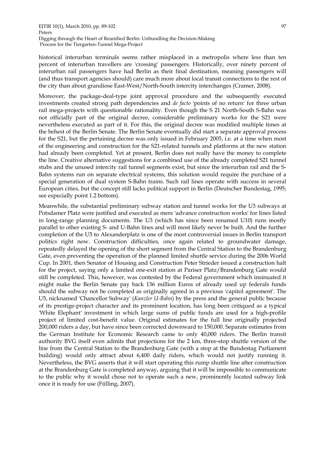historical interurban terminals seems rather misplaced in a metropolis where less than ten percent of interurban travellers are 'crossing' passengers. Historically, over ninety percent of interurban rail passengers have had Berlin as their final destination, meaning passengers will (and thus transport agencies should) care much more about local transit connections to the rest of the city than about grandiose East-West/North-South intercity interchanges (Cramer, 2008).

Moreover, the package-deal-type joint approval procedure and the subsequently executed investments created strong path dependencies and *de facto* 'points of no return' for three urban rail mega-projects with questionable rationality. Even though the S 21 North-South S-Bahn was not officially part of the original decree, considerable preliminary works for the S21 were nevertheless executed as part of it. For this, the original decree was modified multiple times at the behest of the Berlin Senate. The Berlin Senate eventually did start a separate approval process for the S21, but the pertaining decree was only issued in February 2005, i.e. at a time when most of the engineering and construction for the S21-related tunnels and platforms at the new station had already been completed. Yet at present, Berlin does not really have the money to complete the line. Creative alternative suggestions for a combined use of the already completed S21 tunnel stubs and the unused intercity rail tunnel segments exist, but since the interurban rail and the S-Bahn systems run on separate electrical systems, this solution would require the purchase of a special generation of dual system S-Bahn trains. Such rail lines operate with success in several European cities, but the concept still lacks political support in Berlin (Deutscher Bundestag, 1995; see especially point 1.2 bottom).

Meanwhile, the substantial preliminary subway station and tunnel works for the U3 subways at Potsdamer Platz were justified and executed as mere 'advance construction works' for lines listed in long-range planning documents. The U3 (which has since been renamed U10) runs mostly parallel to other existing S- and U-Bahn lines and will most likely never be built. And the further completion of the U5 to Alexanderplatz is one of the most controversial issues in Berlin transport politics right now. Construction difficulties, once again related to groundwater damage, repeatedly delayed the opening of the short segment from the Central Station to the Brandenburg Gate, even preventing the operation of the planned limited shuttle service during the 2006 World Cup. In 2001, then Senator of Housing and Construction Peter Strieder issued a construction halt for the project, saying only a limited one-exit station at Pariser Platz/Brandenburg Gate would still be completed. This, however, was contested by the Federal government which insinuated it might make the Berlin Senate pay back 136 million Euros of already used up federals funds should the subway not be completed as originally agreed in a previous 'capitol agreement'. The U5, nicknamed 'Chancellor Subway' (*Kanzler U-Bahn*) by the press and the general public because of its prestige-project character and its prominent location, has long been critiqued as a typical 'White Elephant' investment in which large sums of public funds are used for a high-profile project of limited cost-benefit value. Original estimates for the full line originally projected 200,000 riders a day, but have since been corrected downward to 150,000. Separate estimates from the German Institute for Economic Research came to only 40,000 riders. The Berlin transit authority BVG itself even admits that projections for the 2 km, three-stop shuttle version of the line from the Central Station to the Brandenburg Gate (with a stop at the Bundestag Parliament building) would only attract about 6,400 daily riders, which would not justify running it. Nevertheless, the BVG asserts that it will start operating this rump shuttle line after construction at the Brandenburg Gate is completed anyway, arguing that it will be impossible to communicate to the public why it would chose not to operate such a new, prominently located subway link once it is ready for use (Fülling, 2007).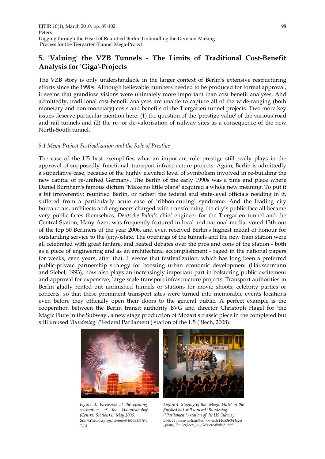# **5. 'Valuing' the VZB Tunnels - The Limits of Traditional Cost-Benefit Analysis for 'Giga'-Projects**

The VZB story is only understandable in the larger context of Berlin's extensive restructuring efforts since the 1990s. Although believable numbers needed to be produced for formal approval, it seems that grandiose visions were ultimately more important than cost benefit analyses. And admittedly, traditional cost-benefit analyses are unable to capture all of the wide-ranging (both monetary and non-monetary) costs and benefits of the Tiergarten tunnel projects. Two more key issues deserve particular mention here: (1) the question of the 'prestige value' of the various road and rail tunnels and (2) the re- or de-valorisation of railway sites as a consequence of the new North-South tunnel.

#### *5.1 Mega-Project Festivalization and the Role of Prestige*

The case of the U5 best exemplifies what an important role prestige still really plays in the approval of supposedly 'functional' transport infrastructure projects. Again, Berlin is admittedly a superlative case, because of the highly elevated level of symbolism involved in re-building the new capital of re-unified Germany. The Berlin of the early 1990s was a time and place where Daniel Burnham's famous dictum "Make no little plans" acquired a whole new meaning. To put it a bit irreverently: reunified Berlin, or rather: the federal and state-level officials residing in it, suffered from a particularly acute case of 'ribbon-cutting' syndrome. And the leading city bureaucrats, architects and engineers charged with transforming the city's public face all became very public faces themselves. *Deutsche Bahn's* chief engineer for the Tiergarten tunnel and the Central Station, Hany Azer, was frequently featured in local and national media, voted 13th out of the top 50 Berliners of the year 2006, and even received Berlin's highest medal of honour for outstanding service to the (city-)state. The openings of the tunnels and the new train station were all celebrated with great fanfare, and heated debates over the pros and cons of the station - both as a piece of engineering and as an architectural accomplishment - raged in the national papers for weeks, even years, after that. It seems that festivalization, which has long been a preferred public-private partnership strategy for boosting urban economic development (Häussermann and Siebel, 1993), now also plays an increasingly important part in bolstering public excitement and approval for expensive, large-scale transport infrastructure projects. Transport authorities in Berlin gladly rented out unfinished tunnels or stations for movie shoots, celebrity parties or concerts, so that these prominent transport sites were turned into memorable events locations even before they officially open their doors to the general public. A perfect example is the cooperation between the Berlin transit authority BVG and director Christoph Hagel for 'the Magic Flute in the Subway', a new stage production of Mozart's classic piece in the completed but still unused '*Bundestag*' ('Federal Parliament') station of the U5 (Blech, 2008).



*Figure 3. Fireworks at the opening celebration of the Hauptbahnhof (Central Station) in May 2006. Source:www.spiegel.de/img/0,1020,633576,0 0.jpg* 

 *Figure 4. Staging of the 'Magic Flute' in the finished but still unused 'Bundestag' ('Parliament') station of the U5 Subway. Source :www.welt.de/berlin/article1408363/Hagel \_plant\_Zauberfloete\_in\_Geisterbahnhof.html*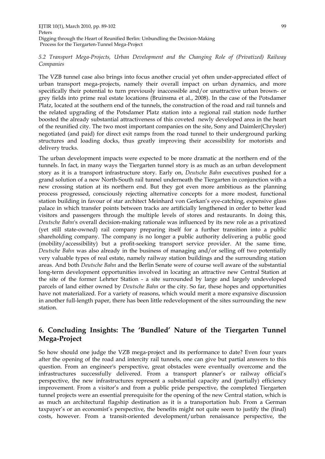### *5.2 Transport Mega-Projects, Urban Development and the Changing Role of (Privatized) Railway Companies*

The VZB tunnel case also brings into focus another crucial yet often under-appreciated effect of urban transport mega-projects, namely their overall impact on urban dynamics, and more specifically their potential to turn previously inaccessible and/or unattractive urban brown- or grey fields into prime real estate locations (Bruinsma et al., 2008). In the case of the Potsdamer Platz, located at the southern end of the tunnels, the construction of the road and rail tunnels and the related upgrading of the Potsdamer Platz station into a regional rail station node further boosted the already substantial attractiveness of this coveted newly developed area in the heart of the reunified city. The two most important companies on the site, Sony and Daimler(Chrysler) negotiated (and paid) for direct exit ramps from the road tunnel to their underground parking structures and loading docks, thus greatly improving their accessibility for motorists and delivery trucks.

The urban development impacts were expected to be more dramatic at the northern end of the tunnels. In fact, in many ways the Tiergarten tunnel story is as much as an urban development story as it is a transport infrastructure story. Early on, *Deutsche Bahn* executives pushed for a grand solution of a new North-South rail tunnel underneath the Tiergarten in conjunction with a new crossing station at its northern end. But they got even more ambitious as the planning process progressed, consciously rejecting alternative concepts for a more modest, functional station building in favour of star architect Meinhard von Gerkan's eye-catching, expensive glass palace in which transfer points between tracks are artificially lengthened in order to better lead visitors and passengers through the multiple levels of stores and restaurants. In doing this, *Deutsche Bahn*'s overall decision-making rationale was influenced by its new role as a privatized (yet still state-owned) rail company preparing itself for a further transition into a public shareholding company. The company is no longer a public authority delivering a public good (mobility/accessibility) but a profit-seeking transport service provider. At the same time*, Deutsche Bahn* was also already in the business of managing and/or selling off two potentially very valuable types of real estate, namely railway station buildings and the surrounding station areas. And both *Deutsche Bahn* and the Berlin Senate were of course well aware of the substantial long-term development opportunities involved in locating an attractive new Central Station at the site of the former Lehrter Station - a site surrounded by large and largely undeveloped parcels of land either owned by *Deutsche Bahn* or the city. So far, these hopes and opportunities have not materialized. For a variety of reasons, which would merit a more expansive discussion in another full-length paper, there has been little redevelopment of the sites surrounding the new station.

# **6. Concluding Insights: The 'Bundled' Nature of the Tiergarten Tunnel Mega-Project**

So how should one judge the VZB mega-project and its performance to date? Even four years after the opening of the road and intercity rail tunnels, one can give but partial answers to this question. From an engineer's perspective, great obstacles were eventually overcome and the infrastructures successfully delivered. From a transport planner's or railway official's perspective, the new infrastructures represent a substantial capacity and (partially) efficiency improvement. From a visitor's and from a public pride perspective, the completed Tiergarten tunnel projects were an essential prerequisite for the opening of the new Central station, which is as much an architectural flagship destination as it is a transportation hub. From a German taxpayer's or an economist's perspective, the benefits might not quite seem to justify the (final) costs, however. From a transit-oriented development/urban renaissance perspective, the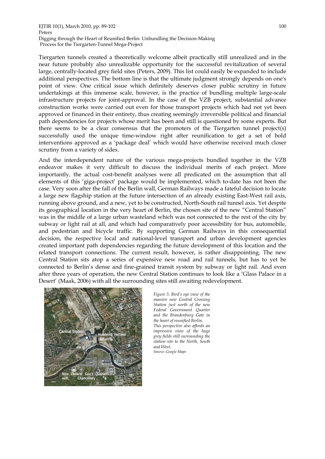Tiergarten tunnels created a theoretically welcome albeit practically still unrealized and in the near future probably also unrealizable opportunity for the successful revitalization of several large, centrally-located grey field sites (Peters, 2009). This list could easily be expanded to include additional perspectives. The bottom line is that the ultimate judgment strongly depends on one's point of view. One critical issue which definitely deserves closer public scrutiny in future undertakings at this immense scale, however, is the practice of bundling multiple large-scale infrastructure projects for joint-approval. In the case of the VZB project, substantial advance construction works were carried out even for those transport projects which had not yet been approved or financed in their entirety, thus creating seemingly irreversible political and financial path dependencies for projects whose merit has been and still is questioned by some experts. But there seems to be a clear consensus that the promoters of the Tiergarten tunnel project(s) successfully used the unique time-window right after reunification to get a set of bold interventions approved as a 'package deal' which would have otherwise received much closer scrutiny from a variety of sides.

And the interdependent nature of the various mega-projects bundled together in the VZB endeavor makes it very difficult to discuss the individual merits of each project. More importantly, the actual cost-benefit analyses were all predicated on the assumption that all elements of this 'giga-project' package would be implemented, which to-date has not been the case. Very soon after the fall of the Berlin wall, German Railways made a fateful decision to locate a large new flagship station at the future intersection of an already existing East-West rail axis, running above ground, and a new, yet to be constructed, North-South rail tunnel axis. Yet despite its geographical location in the very heart of Berlin, the chosen site of the new "Central Station" was in the middle of a large urban wasteland which was not connected to the rest of the city by subway or light rail at all, and which had comparatively poor accessibility for bus, automobile, and pedestrian and bicycle traffic. By supporting German Railways in this consequential decision, the respective local and national-level transport and urban development agencies created important path dependencies regarding the future development of this location and the related transport connections. The current result, however, is rather disappointing. The new Central Station sits atop a series of expensive new road and rail tunnels, but has to yet be connected to Berlin's dense and fine-grained transit system by subway or light rail. And even after three years of operation, the new Central Station continues to look like a 'Glass Palace in a Desert' (Maak, 2006) with all the surrounding sites still awaiting redevelopment.



*Figure 5. Bird's eye view of the massive new Central Crossing Station just north of the new Federal Government Quarter and the Brandenburg Gate in the heart of reunified Berlin. This perspective also affords an impressive view of the huge grey fields still surrounding the station site to the North, South and West. Source: Google Maps*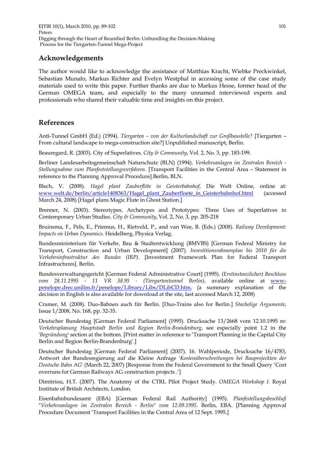# **Acknowledgements**

The author would like to acknowledge the assistance of Matthias Kracht, Wiebke Preckwinkel, Sebastian Munafo, Markus Richter and Evelyn Westphal in accessing some of the case study materials used to write this paper. Further thanks are due to Markus Hesse, former head of the German OMEGA team, and especially to the many unnamed interviewed experts and professionals who shared their valuable time and insights on this project.

## **References**

Anti-Tunnel GmbH (Ed.) (1994). *Tiergarten – von der Kulturlandschaft zur Großbaustelle?* [Tiergarten – From cultural landscape to mega-construction site?] Unpublished manuscript, Berlin.

Beauregard, R. (2003). City of Superlatives. *City & Community*, Vol. 2, No. 3, pp. 183-199.

Berliner Landesarbeitsgemeinschaft Naturschutz (BLN) (1994). *Verkehrsanlagen im Zentralen Bereich - Stellungnahme zum Planfeststellungsverfahren*. [Transport Facilities in the Central Area – Statement in reference to the Planning Approval Procedure].Berlin, BLN.

Blech, V. (2008). *Hagel plant Zauberflöte in Geisterbahnhof*, Die Welt Online, online at: www.welt.de/berlin/article1408363/Hagel\_plant\_Zauberfloete\_in\_Geisterbahnhof.html (accessed March 24, 2008) [Hagel plans Magic Flute in Ghost Station.]

Brenner, N. (2003). Stereotypes, Archetypes and Prototypes: Three Uses of Superlatives in Contemporary Urban Studies. *City & Community*, Vol. 2, No. 3, pp. 205-218

Bruinsma, F., Pels, E., Priemus, H., Rietveld, P., and van Wee, B. (Eds.) (2008). *Railway Development: Impacts on Urban Dynamics*. Heidelberg, Physica Verlag.

Bundesministerium für Verkehr, Bau & Stadtentwicklung (BMVBS) [German Federal Ministry for Transport, Construction and Urban Development] (2007). *Investitionsrahmenplan bis 2010 für die Verkehrsinfrastruktur des Bundes (IRP)*. [Investment Framework Plan for Federal Transport Infrastructures]. Berlin.

Bundesverwaltungsgericht [German Federal Administrative Court] (1995). *(Erstinstanzlicher) Beschluss vom 28.11.1995 - 11 VR 38.95 - (Tiergartentunnel Berlin)*, available online at wwwpenelope.drec.unilim.fr/penelope/Library/Libs/DLibCD.htm, (a summary explanation of the decision in English is also available for download at the site, last accessed March 12, 2008)

Cramer, M. (2008). Duo-Bahnen auch für Berlin. [Duo-Trains also for Berlin.] *Stachelige Argumente*, Issue 1/2008, No. 168, pp. 32-35.

Deutscher Bundestag [German Federal Parliament] (1995). Drucksache 13/2668 vom 12.10.1995 re: *Verkehrsplanung Hauptstadt Berlin und Region Berlin-Brandenburg*, see especially point 1.2 in the '*Begründung*' section at the bottom. [Print matter in reference to 'Transport Planning in the Capital City Berlin and Region Berlin-Brandenburg'.]

Deutscher Bundestag [German Federal Parliament] (2007). 16. Wahlperiode, Drucksache 16/4783, Antwort der Bundesregierung auf die Kleine Anfrage '*Kostenüberschreitungen bei Bauprojeckten der Deutsche Bahn AG*' (March 22, 2007) [Response from the Federal Government to the Small Query 'Cost overruns for German Railways AG construction projects .']

Dimitriou, H.T. (2007). The Anatomy of the CTRL Pilot Project Study. *OMEGA Workshop I*. Royal Institute of British Architects, London.

Eisenbahnbundesamt (EBA) [German Federal Rail Authority] (1995). *Planfestellungsbeschluß*  "*Verkehrsanlagen im Zentralen Bereich - Berlin*" *vom 12.09.1995.* Berlin, EBA. [Planning Approval Procedure Document 'Transport Facilities in the Central Area of 12 Sept. 1995.]